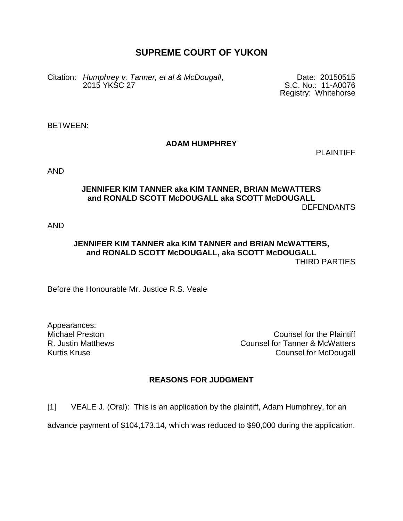# **SUPREME COURT OF YUKON**

Citation: *Humphrey v. Tanner, et al & McDougall*, 2015 YKSC 27

Date: 20150515 S.C. No.: 11-A0076 Registry: Whitehorse

BETWEEN:

#### **ADAM HUMPHREY**

PLAINTIFF

AND

## **JENNIFER KIM TANNER aka KIM TANNER, BRIAN McWATTERS and RONALD SCOTT McDOUGALL aka SCOTT McDOUGALL DEFENDANTS**

AND

#### **JENNIFER KIM TANNER aka KIM TANNER and BRIAN McWATTERS, and RONALD SCOTT McDOUGALL, aka SCOTT McDOUGALL** THIRD PARTIES

Before the Honourable Mr. Justice R.S. Veale

Appearances:

Michael Preston Counsel for the Plaintiff R. Justin Matthews Counsel for Tanner & McWatters Kurtis Kruse Counsel for McDougall

### **REASONS FOR JUDGMENT**

[1] VEALE J. (Oral): This is an application by the plaintiff, Adam Humphrey, for an

advance payment of \$104,173.14, which was reduced to \$90,000 during the application.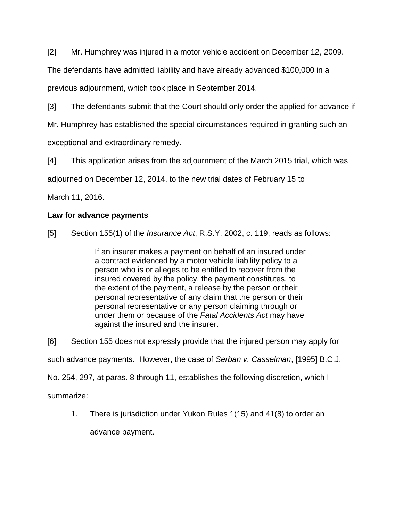[2] Mr. Humphrey was injured in a motor vehicle accident on December 12, 2009.

The defendants have admitted liability and have already advanced \$100,000 in a

previous adjournment, which took place in September 2014.

[3] The defendants submit that the Court should only order the applied-for advance if

Mr. Humphrey has established the special circumstances required in granting such an

exceptional and extraordinary remedy.

[4] This application arises from the adjournment of the March 2015 trial, which was

adjourned on December 12, 2014, to the new trial dates of February 15 to

March 11, 2016.

## **Law for advance payments**

[5] Section 155(1) of the *Insurance Act*, R.S.Y. 2002, c. 119, reads as follows:

If an insurer makes a payment on behalf of an insured under a contract evidenced by a motor vehicle liability policy to a person who is or alleges to be entitled to recover from the insured covered by the policy, the payment constitutes, to the extent of the payment, a release by the person or their personal representative of any claim that the person or their personal representative or any person claiming through or under them or because of the *Fatal Accidents Act* may have against the insured and the insurer.

[6] Section 155 does not expressly provide that the injured person may apply for

such advance payments. However, the case of *Serban v. Casselman*, [1995] B.C.J.

No. 254, 297, at paras. 8 through 11, establishes the following discretion, which I

summarize:

1. There is jurisdiction under Yukon Rules 1(15) and 41(8) to order an advance payment.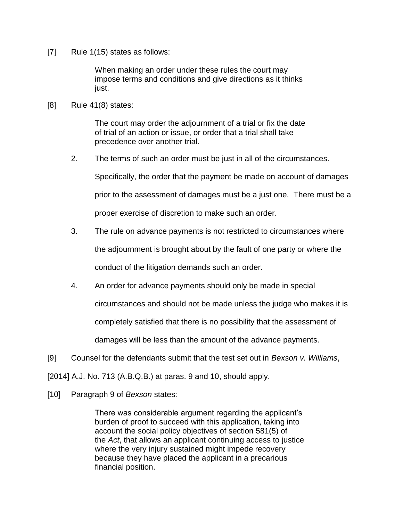[7] Rule 1(15) states as follows:

When making an order under these rules the court may impose terms and conditions and give directions as it thinks just.

[8] Rule 41(8) states:

The court may order the adjournment of a trial or fix the date of trial of an action or issue, or order that a trial shall take precedence over another trial.

2. The terms of such an order must be just in all of the circumstances.

Specifically, the order that the payment be made on account of damages

prior to the assessment of damages must be a just one. There must be a

proper exercise of discretion to make such an order.

3. The rule on advance payments is not restricted to circumstances where

the adjournment is brought about by the fault of one party or where the

conduct of the litigation demands such an order.

4. An order for advance payments should only be made in special

circumstances and should not be made unless the judge who makes it is

completely satisfied that there is no possibility that the assessment of

damages will be less than the amount of the advance payments.

[9] Counsel for the defendants submit that the test set out in *Bexson v. Williams*,

[2014] A.J. No. 713 (A.B.Q.B.) at paras. 9 and 10, should apply.

[10] Paragraph 9 of *Bexson* states:

There was considerable argument regarding the applicant's burden of proof to succeed with this application, taking into account the social policy objectives of section 581(5) of the *Act*, that allows an applicant continuing access to justice where the very injury sustained might impede recovery because they have placed the applicant in a precarious financial position.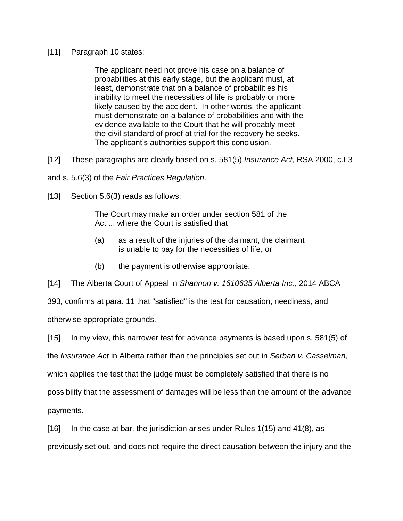### [11] Paragraph 10 states:

The applicant need not prove his case on a balance of probabilities at this early stage, but the applicant must, at least, demonstrate that on a balance of probabilities his inability to meet the necessities of life is probably or more likely caused by the accident. In other words, the applicant must demonstrate on a balance of probabilities and with the evidence available to the Court that he will probably meet the civil standard of proof at trial for the recovery he seeks. The applicant's authorities support this conclusion.

[12] These paragraphs are clearly based on s. 581(5) *Insurance Act*, RSA 2000, c.I-3

and s. 5.6(3) of the *Fair Practices Regulation*.

[13] Section 5.6(3) reads as follows:

The Court may make an order under section 581 of the Act ... where the Court is satisfied that

- (a) as a result of the injuries of the claimant, the claimant is unable to pay for the necessities of life, or
- (b) the payment is otherwise appropriate.

[14] The Alberta Court of Appeal in *Shannon v. 1610635 Alberta Inc.*, 2014 ABCA

393, confirms at para. 11 that "satisfied" is the test for causation, neediness, and

otherwise appropriate grounds.

[15] In my view, this narrower test for advance payments is based upon s. 581(5) of

the *Insurance Act* in Alberta rather than the principles set out in *Serban v. Casselman*,

which applies the test that the judge must be completely satisfied that there is no

possibility that the assessment of damages will be less than the amount of the advance

payments.

[16] In the case at bar, the jurisdiction arises under Rules 1(15) and 41(8), as

previously set out, and does not require the direct causation between the injury and the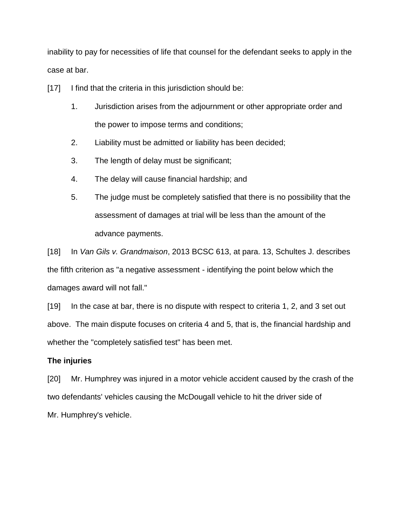inability to pay for necessities of life that counsel for the defendant seeks to apply in the case at bar.

- [17] I find that the criteria in this jurisdiction should be:
	- 1. Jurisdiction arises from the adjournment or other appropriate order and the power to impose terms and conditions;
	- 2. Liability must be admitted or liability has been decided;
	- 3. The length of delay must be significant;
	- 4. The delay will cause financial hardship; and
	- 5. The judge must be completely satisfied that there is no possibility that the assessment of damages at trial will be less than the amount of the advance payments.

[18] In *Van Gils v. Grandmaison*, 2013 BCSC 613, at para. 13, Schultes J. describes the fifth criterion as "a negative assessment - identifying the point below which the damages award will not fall."

[19] In the case at bar, there is no dispute with respect to criteria 1, 2, and 3 set out above. The main dispute focuses on criteria 4 and 5, that is, the financial hardship and whether the "completely satisfied test" has been met.

### **The injuries**

[20] Mr. Humphrey was injured in a motor vehicle accident caused by the crash of the two defendants' vehicles causing the McDougall vehicle to hit the driver side of Mr. Humphrey's vehicle.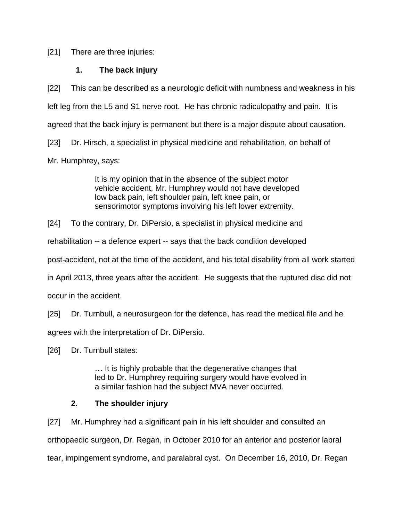[21] There are three injuries:

## **1. The back injury**

[22] This can be described as a neurologic deficit with numbness and weakness in his left leg from the L5 and S1 nerve root. He has chronic radiculopathy and pain. It is agreed that the back injury is permanent but there is a major dispute about causation. [23] Dr. Hirsch, a specialist in physical medicine and rehabilitation, on behalf of Mr. Humphrey, says:

> It is my opinion that in the absence of the subject motor vehicle accident, Mr. Humphrey would not have developed low back pain, left shoulder pain, left knee pain, or sensorimotor symptoms involving his left lower extremity.

[24] To the contrary, Dr. DiPersio, a specialist in physical medicine and

rehabilitation -- a defence expert -- says that the back condition developed

post-accident, not at the time of the accident, and his total disability from all work started

in April 2013, three years after the accident. He suggests that the ruptured disc did not

occur in the accident.

[25] Dr. Turnbull, a neurosurgeon for the defence, has read the medical file and he

agrees with the interpretation of Dr. DiPersio.

[26] Dr. Turnbull states:

… It is highly probable that the degenerative changes that led to Dr. Humphrey requiring surgery would have evolved in a similar fashion had the subject MVA never occurred.

## **2. The shoulder injury**

[27] Mr. Humphrey had a significant pain in his left shoulder and consulted an orthopaedic surgeon, Dr. Regan, in October 2010 for an anterior and posterior labral tear, impingement syndrome, and paralabral cyst. On December 16, 2010, Dr. Regan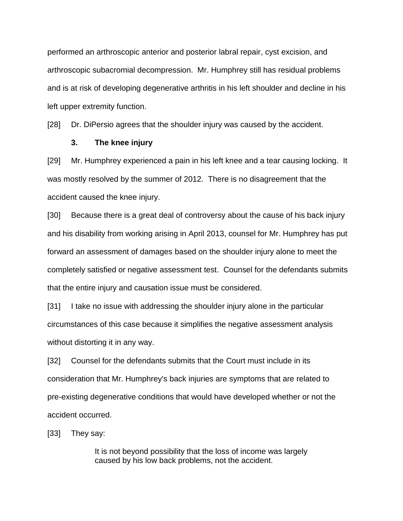performed an arthroscopic anterior and posterior labral repair, cyst excision, and arthroscopic subacromial decompression. Mr. Humphrey still has residual problems and is at risk of developing degenerative arthritis in his left shoulder and decline in his left upper extremity function.

[28] Dr. DiPersio agrees that the shoulder injury was caused by the accident.

#### **3. The knee injury**

[29] Mr. Humphrey experienced a pain in his left knee and a tear causing locking. It was mostly resolved by the summer of 2012. There is no disagreement that the accident caused the knee injury.

[30] Because there is a great deal of controversy about the cause of his back injury and his disability from working arising in April 2013, counsel for Mr. Humphrey has put forward an assessment of damages based on the shoulder injury alone to meet the completely satisfied or negative assessment test. Counsel for the defendants submits that the entire injury and causation issue must be considered.

[31] I take no issue with addressing the shoulder injury alone in the particular circumstances of this case because it simplifies the negative assessment analysis without distorting it in any way.

[32] Counsel for the defendants submits that the Court must include in its consideration that Mr. Humphrey's back injuries are symptoms that are related to pre-existing degenerative conditions that would have developed whether or not the accident occurred.

[33] They say:

It is not beyond possibility that the loss of income was largely caused by his low back problems, not the accident.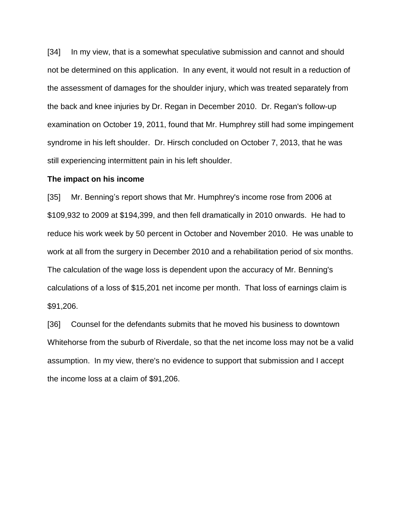[34] In my view, that is a somewhat speculative submission and cannot and should not be determined on this application. In any event, it would not result in a reduction of the assessment of damages for the shoulder injury, which was treated separately from the back and knee injuries by Dr. Regan in December 2010. Dr. Regan's follow-up examination on October 19, 2011, found that Mr. Humphrey still had some impingement syndrome in his left shoulder. Dr. Hirsch concluded on October 7, 2013, that he was still experiencing intermittent pain in his left shoulder.

#### **The impact on his income**

[35] Mr. Benning's report shows that Mr. Humphrey's income rose from 2006 at \$109,932 to 2009 at \$194,399, and then fell dramatically in 2010 onwards. He had to reduce his work week by 50 percent in October and November 2010. He was unable to work at all from the surgery in December 2010 and a rehabilitation period of six months. The calculation of the wage loss is dependent upon the accuracy of Mr. Benning's calculations of a loss of \$15,201 net income per month. That loss of earnings claim is \$91,206.

[36] Counsel for the defendants submits that he moved his business to downtown Whitehorse from the suburb of Riverdale, so that the net income loss may not be a valid assumption. In my view, there's no evidence to support that submission and I accept the income loss at a claim of \$91,206.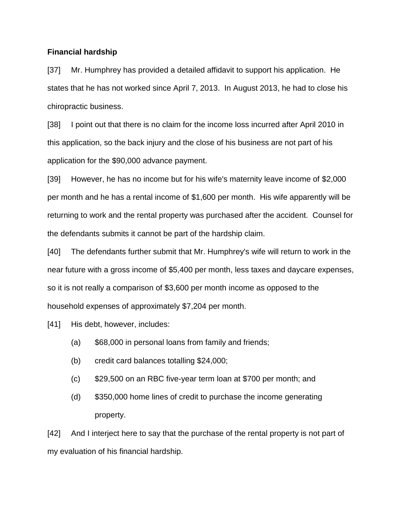#### **Financial hardship**

[37] Mr. Humphrey has provided a detailed affidavit to support his application. He states that he has not worked since April 7, 2013. In August 2013, he had to close his chiropractic business.

[38] I point out that there is no claim for the income loss incurred after April 2010 in this application, so the back injury and the close of his business are not part of his application for the \$90,000 advance payment.

[39] However, he has no income but for his wife's maternity leave income of \$2,000 per month and he has a rental income of \$1,600 per month. His wife apparently will be returning to work and the rental property was purchased after the accident. Counsel for the defendants submits it cannot be part of the hardship claim.

[40] The defendants further submit that Mr. Humphrey's wife will return to work in the near future with a gross income of \$5,400 per month, less taxes and daycare expenses, so it is not really a comparison of \$3,600 per month income as opposed to the household expenses of approximately \$7,204 per month.

[41] His debt, however, includes:

- (a) \$68,000 in personal loans from family and friends;
- (b) credit card balances totalling \$24,000;
- (c) \$29,500 on an RBC five-year term loan at \$700 per month; and
- (d) \$350,000 home lines of credit to purchase the income generating property.

[42] And I interject here to say that the purchase of the rental property is not part of my evaluation of his financial hardship.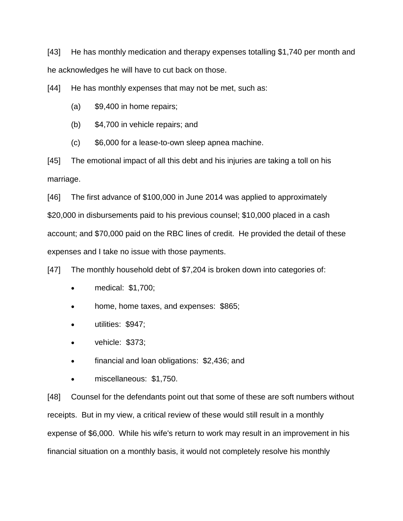[43] He has monthly medication and therapy expenses totalling \$1,740 per month and he acknowledges he will have to cut back on those.

[44] He has monthly expenses that may not be met, such as:

- (a) \$9,400 in home repairs;
- (b) \$4,700 in vehicle repairs; and
- (c) \$6,000 for a lease-to-own sleep apnea machine.

[45] The emotional impact of all this debt and his injuries are taking a toll on his marriage.

[46] The first advance of \$100,000 in June 2014 was applied to approximately \$20,000 in disbursements paid to his previous counsel; \$10,000 placed in a cash account; and \$70,000 paid on the RBC lines of credit. He provided the detail of these expenses and I take no issue with those payments.

[47] The monthly household debt of \$7,204 is broken down into categories of:

- medical: \$1,700;
- home, home taxes, and expenses: \$865;
- utilities: \$947;
- vehicle: \$373;
- financial and loan obligations: \$2,436; and
- miscellaneous: \$1,750.

[48] Counsel for the defendants point out that some of these are soft numbers without receipts. But in my view, a critical review of these would still result in a monthly expense of \$6,000. While his wife's return to work may result in an improvement in his financial situation on a monthly basis, it would not completely resolve his monthly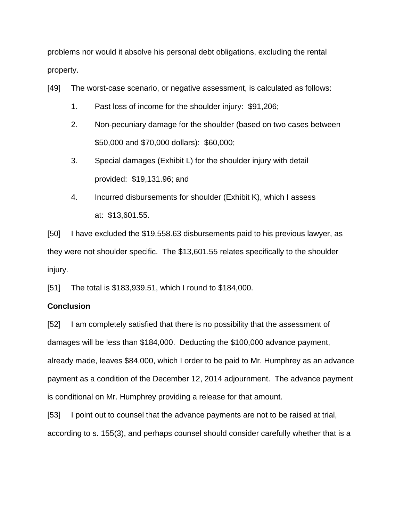problems nor would it absolve his personal debt obligations, excluding the rental property.

[49] The worst-case scenario, or negative assessment, is calculated as follows:

- 1. Past loss of income for the shoulder injury: \$91,206;
- 2. Non-pecuniary damage for the shoulder (based on two cases between \$50,000 and \$70,000 dollars): \$60,000;
- 3. Special damages (Exhibit L) for the shoulder injury with detail provided: \$19,131.96; and
- 4. Incurred disbursements for shoulder (Exhibit K), which I assess at: \$13,601.55.

[50] I have excluded the \$19,558.63 disbursements paid to his previous lawyer, as they were not shoulder specific. The \$13,601.55 relates specifically to the shoulder injury.

[51] The total is \$183,939.51, which I round to \$184,000.

## **Conclusion**

[52] I am completely satisfied that there is no possibility that the assessment of damages will be less than \$184,000. Deducting the \$100,000 advance payment, already made, leaves \$84,000, which I order to be paid to Mr. Humphrey as an advance payment as a condition of the December 12, 2014 adjournment. The advance payment is conditional on Mr. Humphrey providing a release for that amount.

[53] I point out to counsel that the advance payments are not to be raised at trial, according to s. 155(3), and perhaps counsel should consider carefully whether that is a